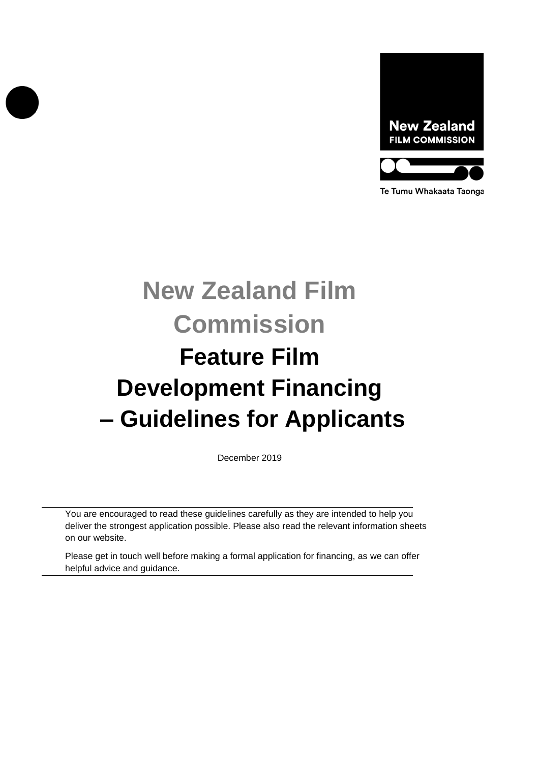

Te Tumu Whakaata Taonga

# **New Zealand Film Commission Feature Film Development Financing – Guidelines for Applicants**

December 2019

You are encouraged to read these guidelines carefully as they are intended to help you deliver the strongest application possible. Please also read the relevant information sheets on our website.

Please get in touch well before making a formal application for financing, as we can offer helpful advice and guidance.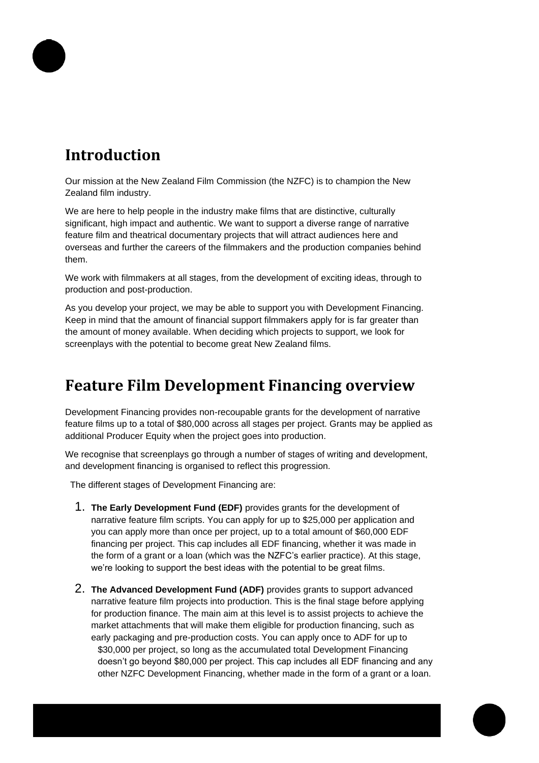# **Introduction**

Our mission at the New Zealand Film Commission (the NZFC) is to champion the New Zealand film industry.

We are here to help people in the industry make films that are distinctive, culturally significant, high impact and authentic. We want to support a diverse range of narrative feature film and theatrical documentary projects that will attract audiences here and overseas and further the careers of the filmmakers and the production companies behind them.

We work with filmmakers at all stages, from the development of exciting ideas, through to production and post-production.

As you develop your project, we may be able to support you with Development Financing. Keep in mind that the amount of financial support filmmakers apply for is far greater than the amount of money available. When deciding which projects to support, we look for screenplays with the potential to become great New Zealand films.

# **Feature Film Development Financing overview**

Development Financing provides non-recoupable grants for the development of narrative feature films up to a total of \$80,000 across all stages per project. Grants may be applied as additional Producer Equity when the project goes into production.

We recognise that screenplays go through a number of stages of writing and development, and development financing is organised to reflect this progression.

The different stages of Development Financing are:

- 1. **The Early Development Fund (EDF)** provides grants for the development of narrative feature film scripts. You can apply for up to \$25,000 per application and you can apply more than once per project, up to a total amount of \$60,000 EDF financing per project. This cap includes all EDF financing, whether it was made in the form of a grant or a loan (which was the NZFC's earlier practice). At this stage, we're looking to support the best ideas with the potential to be great films.
- 2. **The Advanced Development Fund (ADF)** provides grants to support advanced narrative feature film projects into production. This is the final stage before applying for production finance. The main aim at this level is to assist projects to achieve the market attachments that will make them eligible for production financing, such as early packaging and pre-production costs. You can apply once to ADF for up to \$30,000 per project, so long as the accumulated total Development Financing doesn't go beyond \$80,000 per project. This cap includes all EDF financing and any other NZFC Development Financing, whether made in the form of a grant or a loan.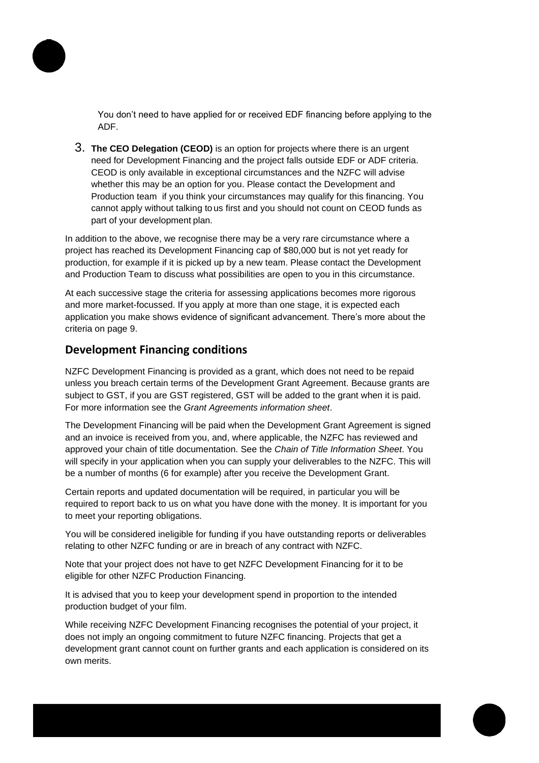

You don't need to have applied for or received EDF financing before applying to the ADF.

3. **The CEO Delegation (CEOD)** is an option for projects where there is an urgent need for Development Financing and the project falls outside EDF or ADF criteria. CEOD is only available in exceptional circumstances and the NZFC will advise whether this may be an option for you. Please contact the Development and Production team if you think your circumstances may qualify for this financing. You cannot apply without talking to us first and you should not count on CEOD funds as part of your development plan.

In addition to the above, we recognise there may be a very rare circumstance where a project has reached its Development Financing cap of \$80,000 but is not yet ready for production, for example if it is picked up by a new team. Please contact the Development and Production Team to discuss what possibilities are open to you in this circumstance.

At each successive stage the criteria for assessing applications becomes more rigorous and more market-focussed. If you apply at more than one stage, it is expected each application you make shows evidence of significant advancement. There's more about the criteria on page 9.

### **Development Financing conditions**

NZFC Development Financing is provided as a grant, which does not need to be repaid unless you breach certain terms of the Development Grant Agreement. Because grants are subject to GST, if you are GST registered, GST will be added to the grant when it is paid. For more information see the *Grant Agreements information sheet*.

The Development Financing will be paid when the Development Grant Agreement is signed and an invoice is received from you, and, where applicable, the NZFC has reviewed and approved your chain of title documentation. See the *Chain of Title Information Sheet*. You will specify in your application when you can supply your deliverables to the NZFC. This will be a number of months (6 for example) after you receive the Development Grant.

Certain reports and updated documentation will be required, in particular you will be required to report back to us on what you have done with the money. It is important for you to meet your reporting obligations.

You will be considered ineligible for funding if you have outstanding reports or deliverables relating to other NZFC funding or are in breach of any contract with NZFC.

Note that your project does not have to get NZFC Development Financing for it to be eligible for other NZFC Production Financing.

It is advised that you to keep your development spend in proportion to the intended production budget of your film.

While receiving NZFC Development Financing recognises the potential of your project, it does not imply an ongoing commitment to future NZFC financing. Projects that get a development grant cannot count on further grants and each application is considered on its own merits.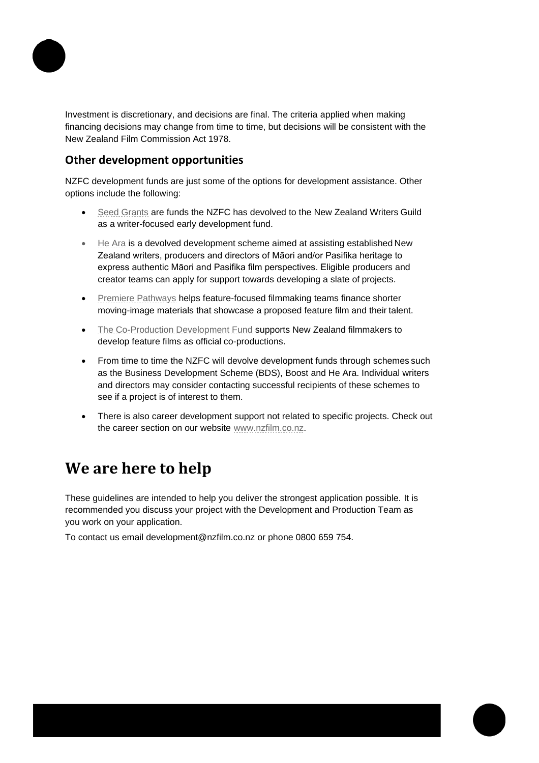

Investment is discretionary, and decisions are final. The criteria applied when making financing decisions may change from time to time, but decisions will be consistent with the New Zealand Film Commission Act 1978.

### **Other development opportunities**

NZFC development funds are just some of the options for development assistance. Other options include the following:

- [Seed Grants](http://www.nzfilm.co.nz/funding/feature-films/early-development/seed-development-fund) are funds the NZFC has devolved to the New Zealand Writers Guild as a writer-focused early development fund.
- [He Ara](http://www.nzfilm.co.nz/funding/feature-films/he-ara) is a devolved development scheme aimed at assisting established New Zealand writers, producers and directors of Māori and/or Pasifika heritage to express authentic Māori and Pasifika film perspectives. Eligible producers and creator teams can apply for support towards developing a slate of projects.
- [Premiere Pathways](http://www.nzfilm.co.nz/funding/feature-films/premiere-pathways) helps feature-focused filmmaking teams finance shorter moving-image materials that showcase a proposed feature film and their talent.
- [The Co-Production Development Fund](http://www.nzfilm.co.nz/funding/feature-films/china-co-production-development-fund) supports New Zealand filmmakers to develop feature films as official co-productions.
- From time to time the NZFC will devolve development funds through schemes such as the Business Development Scheme (BDS), Boost and He Ara. Individual writers and directors may consider contacting successful recipients of these schemes to see if a project is of interest to them.
- There is also career development support not related to specific projects. Check out the career section on our website [www.nzfilm.co.nz.](http://www.nzfilm.co.nz/)

# **We are here to help**

These guidelines are intended to help you deliver the strongest application possible. It is recommended you discuss your project with the Development and Production Team as you work on your application.

To contact us email [development@nzfilm.co.nz o](mailto:development@nzfilm.co.nz)r phone 0800 659 754.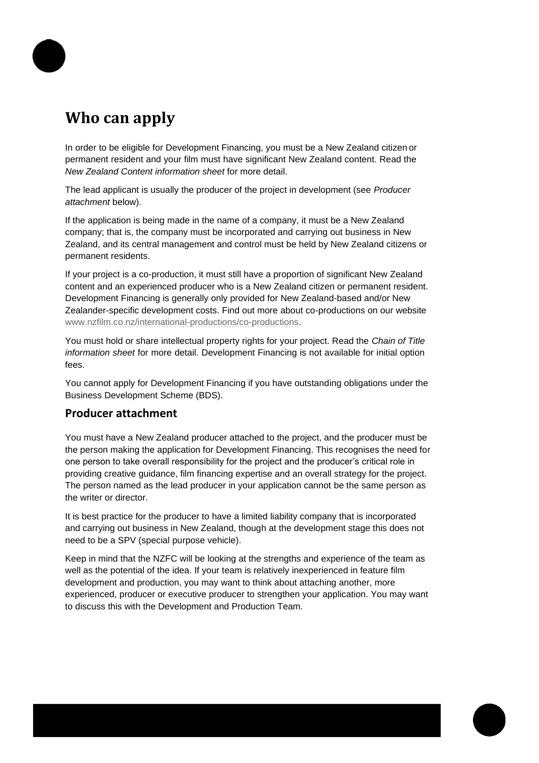# **Who can apply**

In order to be eligible for Development Financing, you must be a New Zealand citizen or permanent resident and your film must have significant New Zealand content. Read the *New Zealand Content information sheet* for more detail.

The lead applicant is usually the producer of the project in development (see *Producer attachment* below).

If the application is being made in the name of a company, it must be a New Zealand company; that is, the company must be incorporated and carrying out business in New Zealand, and its central management and control must be held by New Zealand citizens or permanent residents.

If your project is a co-production, it must still have a proportion of significant New Zealand content and an experienced producer who is a New Zealand citizen or permanent resident. Development Financing is generally only provided for New Zealand-based and/or New Zealander-specific development costs. Find out more about co-productions on our website [www.nzfilm.co.nz/international-productions/co-productions.](http://www.nzfilm.co.nz/international-productions/co-productions)

You must hold or share intellectual property rights for your project. Read the *Chain of Title information sheet* for more detail. Development Financing is not available for initial option fees.

You cannot apply for Development Financing if you have outstanding obligations under the Business Development Scheme (BDS).

### **Producer attachment**

You must have a New Zealand producer attached to the project, and the producer must be the person making the application for Development Financing. This recognises the need for one person to take overall responsibility for the project and the producer's critical role in providing creative guidance, film financing expertise and an overall strategy for the project. The person named as the lead producer in your application cannot be the same person as the writer or director.

It is best practice for the producer to have a limited liability company that is incorporated and carrying out business in New Zealand, though at the development stage this does not need to be a SPV (special purpose vehicle).

Keep in mind that the NZFC will be looking at the strengths and experience of the team as well as the potential of the idea. If your team is relatively inexperienced in feature film development and production, you may want to think about attaching another, more experienced, producer or executive producer to strengthen your application. You may want to discuss this with the Development and Production Team.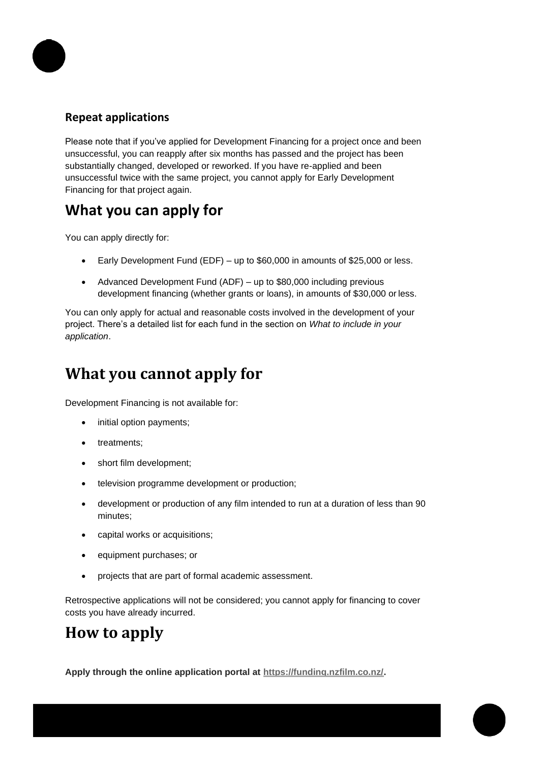

### **Repeat applications**

Please note that if you've applied for Development Financing for a project once and been unsuccessful, you can reapply after six months has passed and the project has been substantially changed, developed or reworked. If you have re-applied and been unsuccessful twice with the same project, you cannot apply for Early Development Financing for that project again.

# **What you can apply for**

You can apply directly for:

- Early Development Fund (EDF) up to \$60,000 in amounts of \$25,000 or less.
- Advanced Development Fund (ADF) up to \$80,000 including previous development financing (whether grants or loans), in amounts of \$30,000 or less.

You can only apply for actual and reasonable costs involved in the development of your project. There's a detailed list for each fund in the section on *What to include in your application*.

# **What you cannot apply for**

Development Financing is not available for:

- initial option payments;
- treatments;
- short film development;
- television programme development or production;
- development or production of any film intended to run at a duration of less than 90 minutes;
- capital works or acquisitions;
- equipment purchases; or
- projects that are part of formal academic assessment.

Retrospective applications will not be considered; you cannot apply for financing to cover costs you have already incurred.

# **How to apply**

**Apply through the online application portal at [https://funding.nzfilm.co.nz/.](https://funding.nzfilm.co.nz/)**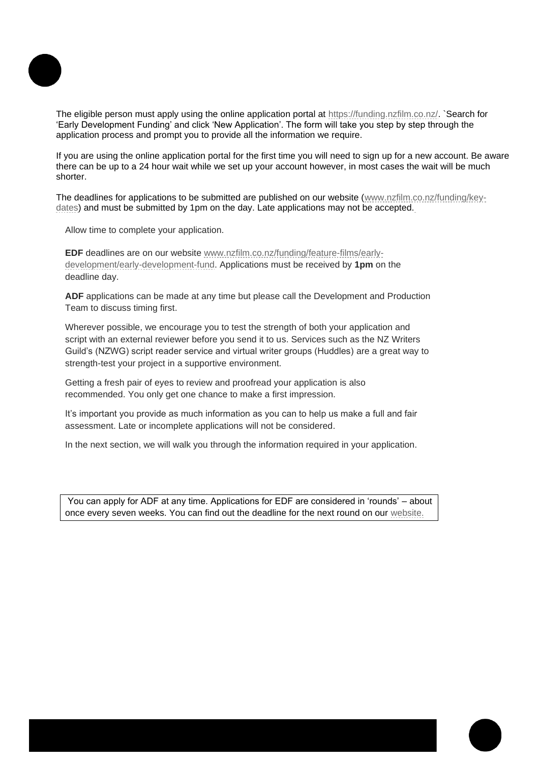

The eligible person must apply using the online application portal at [https://funding.nzfilm.co.nz/.](https://funding.nzfilm.co.nz/) `Search for 'Early Development Funding' and click 'New Application'. The form will take you step by step through the application process and prompt you to provide all the information we require.

If you are using the online application portal for the first time you will need to sign up for a new account. Be aware there can be up to a 24 hour wait while we set up your account however, in most cases the wait will be much shorter.

The deadlines for applications to be submitted are published on our website [\(www.nzfilm.co.nz/funding/key](http://www.nzfilm.co.nz/funding/key-dates)[dates\)](http://www.nzfilm.co.nz/funding/key-dates) and must be submitted by 1pm on the day. Late applications may not be accepted.

Allow time to complete your application.

**EDF** deadlines are on our website [www.nzfilm.co.nz/funding/feature-films/early](http://www.nzfilm.co.nz/funding/feature-films/early-development/early-development-fund)[development/early-development-fund. A](http://www.nzfilm.co.nz/funding/feature-films/early-development/early-development-fund)pplications must be received by **1pm** on the deadline day.

**ADF** applications can be made at any time but please call the Development and Production Team to discuss timing first.

Wherever possible, we encourage you to test the strength of both your application and script with an external reviewer before you send it to us. Services such as the [NZ Writers](http://www.nzwg.org.nz/) [Guild's \(NZWG\) script reader service and virtual writer groups \(Huddles\) a](http://www.nzwg.org.nz/)re a great way to strength-test your project in a supportive environment.

Getting a fresh pair of eyes to review and proofread your application is also recommended. You only get one chance to make a first impression.

It's important you provide as much information as you can to help us make a full and fair assessment. Late or incomplete applications will not be considered.

In the next section, we will walk you through the information required in your application.

You can apply for ADF at any time. Applications for EDF are considered in 'rounds' – about once every seven weeks. You can find out the deadline for the next round on our [website.](http://www.nzfilm.co.nz/funding/feature-films/early-development/early-development-fund)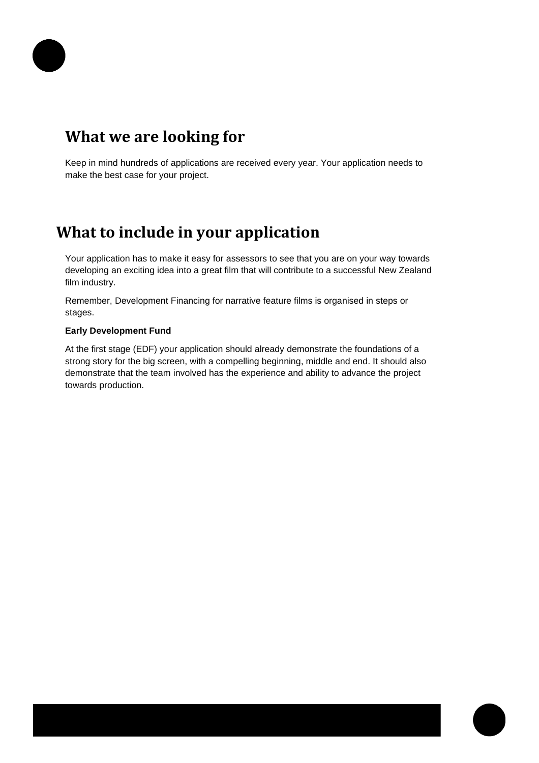# **What we are looking for**

Keep in mind hundreds of applications are received every year. Your application needs to make the best case for your project.

# **What to include in your application**

Your application has to make it easy for assessors to see that you are on your way towards developing an exciting idea into a great film that will contribute to a successful New Zealand film industry.

Remember, Development Financing for narrative feature films is organised in steps or stages.

#### **Early Development Fund**

At the first stage (EDF) your application should already demonstrate the foundations of a strong story for the big screen, with a compelling beginning, middle and end. It should also demonstrate that the team involved has the experience and ability to advance the project towards production.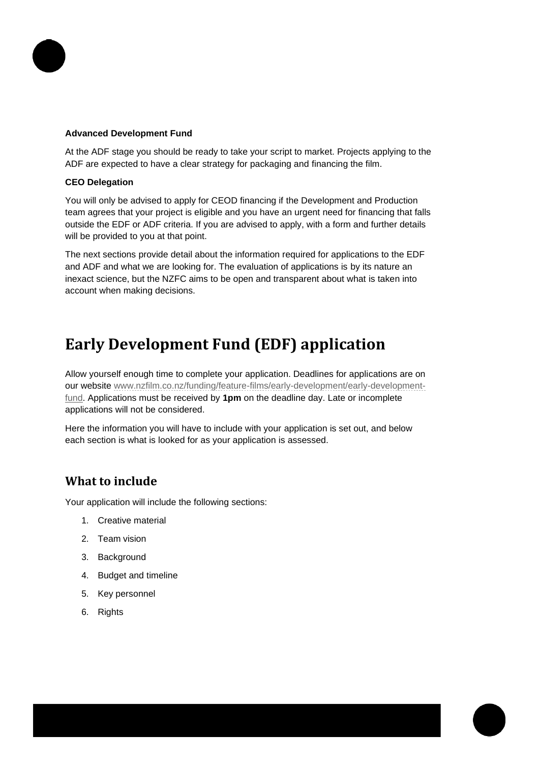

#### **Advanced Development Fund**

At the ADF stage you should be ready to take your script to market. Projects applying to the ADF are expected to have a clear strategy for packaging and financing the film.

#### **CEO Delegation**

You will only be advised to apply for CEOD financing if the Development and Production team agrees that your project is eligible and you have an urgent need for financing that falls outside the EDF or ADF criteria. If you are advised to apply, with a form and further details will be provided to you at that point.

The next sections provide detail about the information required for applications to the EDF and ADF and what we are looking for. The evaluation of applications is by its nature an inexact science, but the NZFC aims to be open and transparent about what is taken into account when making decisions.

# **Early Development Fund (EDF) application**

Allow yourself enough time to complete your application. Deadlines for applications are on our website [www.nzfilm.co.nz/funding/feature-films/early-development/early-development](http://www.nzfilm.co.nz/funding/feature-films/early-development/early-development-fund)[fund. A](http://www.nzfilm.co.nz/funding/feature-films/early-development/early-development-fund)pplications must be received by **1pm** on the deadline day. Late or incomplete applications will not be considered.

Here the information you will have to include with your application is set out, and below each section is what is looked for as your application is assessed.

# **What to include**

Your application will include the following sections:

- 1. Creative material
- 2. Team vision
- 3. Background
- 4. Budget and timeline
- 5. Key personnel
- 6. Rights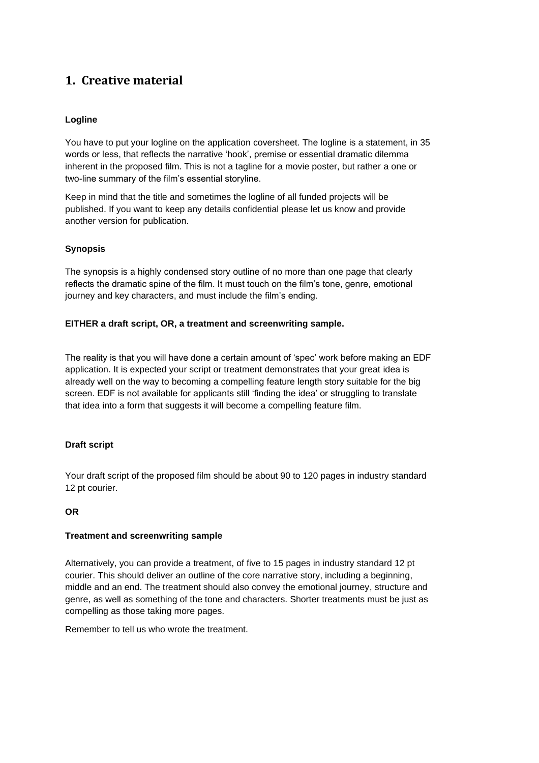# **1. Creative material**

#### **Logline**

You have to put your logline on the application coversheet. The logline is a statement, in 35 words or less, that reflects the narrative 'hook', premise or essential dramatic dilemma inherent in the proposed film. This is not a tagline for a movie poster, but rather a one or two-line summary of the film's essential storyline.

Keep in mind that the title and sometimes the logline of all funded projects will be published. If you want to keep any details confidential please let us know and provide another version for publication.

#### **Synopsis**

The synopsis is a highly condensed story outline of no more than one page that clearly reflects the dramatic spine of the film. It must touch on the film's tone, genre, emotional journey and key characters, and must include the film's ending.

#### **EITHER a draft script, OR, a treatment and screenwriting sample.**

The reality is that you will have done a certain amount of 'spec' work before making an EDF application. It is expected your script or treatment demonstrates that your great idea is already well on the way to becoming a compelling feature length story suitable for the big screen. EDF is not available for applicants still 'finding the idea' or struggling to translate that idea into a form that suggests it will become a compelling feature film.

#### **Draft script**

Your draft script of the proposed film should be about 90 to 120 pages in industry standard 12 pt courier.

#### **OR**

#### **Treatment and screenwriting sample**

Alternatively, you can provide a treatment, of five to 15 pages in industry standard 12 pt courier. This should deliver an outline of the core narrative story, including a beginning, middle and an end. The treatment should also convey the emotional journey, structure and genre, as well as something of the tone and characters. Shorter treatments must be just as compelling as those taking more pages.

Remember to tell us who wrote the treatment.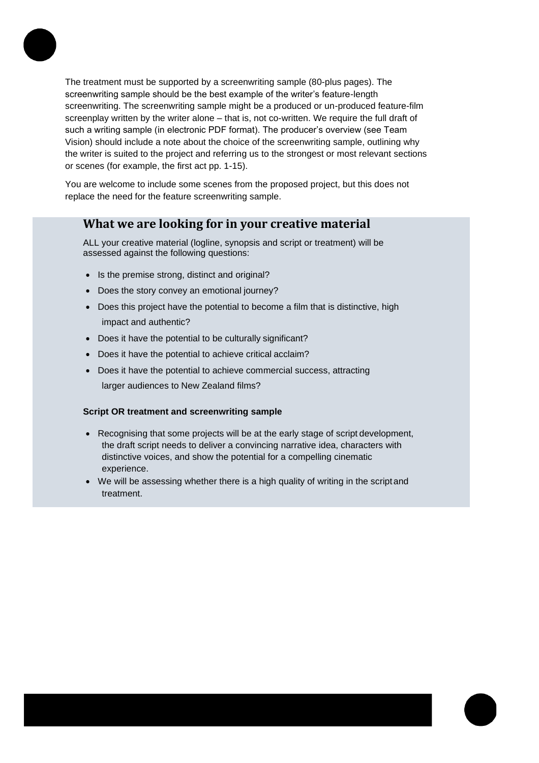

The treatment must be supported by a screenwriting sample (80-plus pages). The screenwriting sample should be the best example of the writer's feature-length screenwriting. The screenwriting sample might be a produced or un-produced feature-film screenplay written by the writer alone – that is, not co-written. We require the full draft of such a writing sample (in electronic PDF format). The producer's overview (see Team Vision) should include a note about the choice of the screenwriting sample, outlining why the writer is suited to the project and referring us to the strongest or most relevant sections or scenes (for example, the first act pp. 1-15).

You are welcome to include some scenes from the proposed project, but this does not replace the need for the feature screenwriting sample.

### **What we are looking for in your creative material**

ALL your creative material (logline, synopsis and script or treatment) will be assessed against the following questions:

- Is the premise strong, distinct and original?
- Does the story convey an emotional journey?
- Does this project have the potential to become a film that is distinctive, high impact and authentic?
- Does it have the potential to be culturally significant?
- Does it have the potential to achieve critical acclaim?
- Does it have the potential to achieve commercial success, attracting larger audiences to New Zealand films?

#### **Script OR treatment and screenwriting sample**

- Recognising that some projects will be at the early stage of script development, the draft script needs to deliver a convincing narrative idea, characters with distinctive voices, and show the potential for a compelling cinematic experience.
- We will be assessing whether there is a high quality of writing in the script and treatment.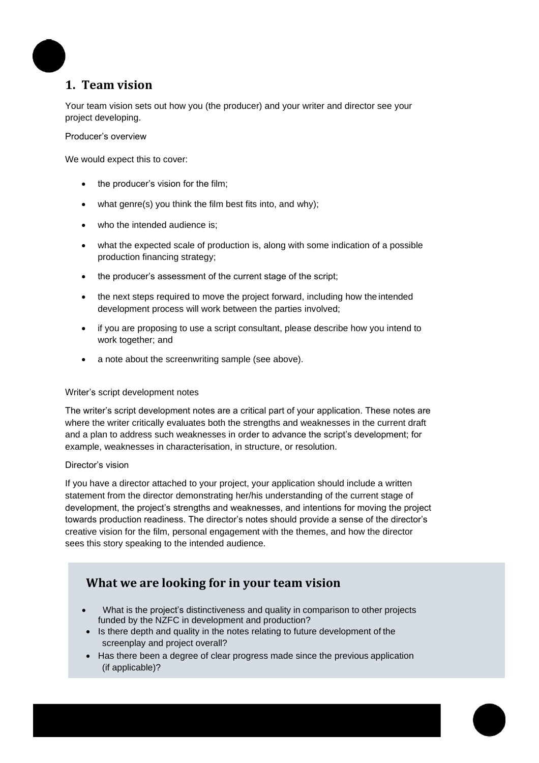# **1. Team vision**

Your team vision sets out how you (the producer) and your writer and director see your project developing.

#### Producer's overview

We would expect this to cover:

- the producer's vision for the film;
- what genre(s) you think the film best fits into, and why);
- who the intended audience is;
- what the expected scale of production is, along with some indication of a possible production financing strategy;
- the producer's assessment of the current stage of the script;
- the next steps required to move the project forward, including how the intended development process will work between the parties involved;
- if you are proposing to use a script consultant, please describe how you intend to work together; and
- a note about the screenwriting sample (see above).

#### Writer's script development notes

The writer's script development notes are a critical part of your application. These notes are where the writer critically evaluates both the strengths and weaknesses in the current draft and a plan to address such weaknesses in order to advance the script's development; for example, weaknesses in characterisation, in structure, or resolution.

#### Director's vision

If you have a director attached to your project, your application should include a written statement from the director demonstrating her/his understanding of the current stage of development, the project's strengths and weaknesses, and intentions for moving the project towards production readiness. The director's notes should provide a sense of the director's creative vision for the film, personal engagement with the themes, and how the director sees this story speaking to the intended audience.

# **What we are looking for in your team vision**

- What is the project's distinctiveness and quality in comparison to other projects funded by the NZFC in development and production?
- Is there depth and quality in the notes relating to future development of the screenplay and project overall?
- Has there been a degree of clear progress made since the previous application (if applicable)?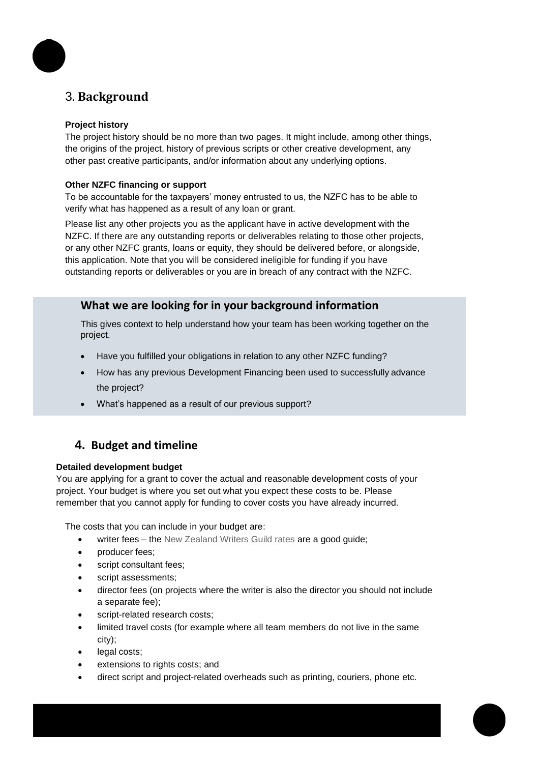

# 3. **Background**

#### **Project history**

The project history should be no more than two pages. It might include, among other things, the origins of the project, history of previous scripts or other creative development, any other past creative participants, and/or information about any underlying options.

#### **Other NZFC financing or support**

To be accountable for the taxpayers' money entrusted to us, the NZFC has to be able to verify what has happened as a result of any loan or grant.

Please list any other projects you as the applicant have in active development with the NZFC. If there are any outstanding reports or deliverables relating to those other projects, or any other NZFC grants, loans or equity, they should be delivered before, or alongside, this application. Note that you will be considered ineligible for funding if you have outstanding reports or deliverables or you are in breach of any contract with the NZFC.

### **What we are looking for in your background information**

This gives context to help understand how your team has been working together on the project.

- Have you fulfilled your obligations in relation to any other NZFC funding?
- How has any previous Development Financing been used to successfully advance the project?
- What's happened as a result of our previous support?

# **4. Budget and timeline**

#### **Detailed development budget**

You are applying for a grant to cover the actual and reasonable development costs of your project. Your budget is where you set out what you expect these costs to be. Please remember that you cannot apply for funding to cover costs you have already incurred.

The costs that you can include in your budget are:

- writer fees the [New Zealand Writers Guild rates](http://www.nzwg.org.nz/resources/faqs/your-rights/conditions/) are a good guide;
- **producer fees:**
- script consultant fees;
- script assessments;
- director fees (on projects where the writer is also the director you should not include a separate fee);
- script-related research costs;
- limited travel costs (for example where all team members do not live in the same city);
- legal costs;
- extensions to rights costs; and
- direct script and project-related overheads such as printing, couriers, phone etc.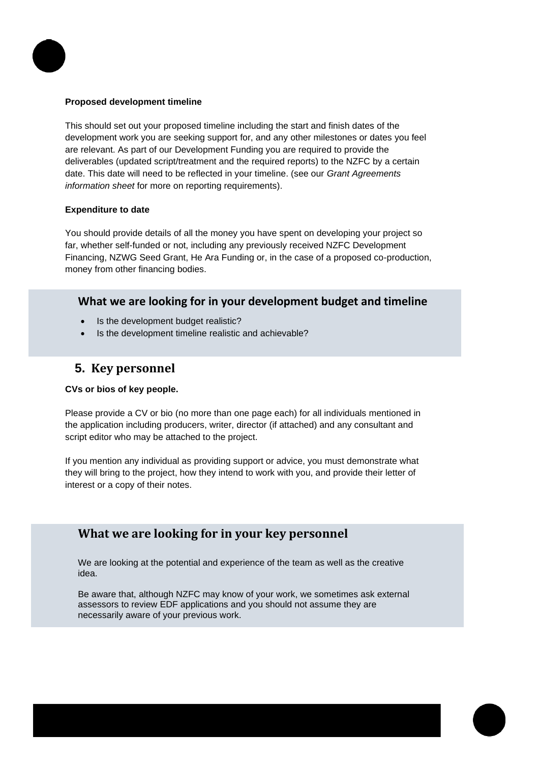

#### **Proposed development timeline**

This should set out your proposed timeline including the start and finish dates of the development work you are seeking support for, and any other milestones or dates you feel are relevant. As part of our Development Funding you are required to provide the deliverables (updated script/treatment and the required reports) to the NZFC by a certain date. This date will need to be reflected in your timeline. (see our *Grant Agreements information sheet* for more on reporting requirements).

#### **Expenditure to date**

You should provide details of all the money you have spent on developing your project so far, whether self-funded or not, including any previously received NZFC Development Financing, NZWG Seed Grant, He Ara Funding or, in the case of a proposed co-production, money from other financing bodies.

#### **What we are looking for in your development budget and timeline**

- Is the development budget realistic?
- Is the development timeline realistic and achievable?

### **5. Key personnel**

#### **CVs or bios of key people.**

Please provide a CV or bio (no more than one page each) for all individuals mentioned in the application including producers, writer, director (if attached) and any consultant and script editor who may be attached to the project.

If you mention any individual as providing support or advice, you must demonstrate what they will bring to the project, how they intend to work with you, and provide their letter of interest or a copy of their notes.

### **What we are looking for in your key personnel**

We are looking at the potential and experience of the team as well as the creative idea.

Be aware that, although NZFC may know of your work, we sometimes ask external assessors to review EDF applications and you should not assume they are necessarily aware of your previous work.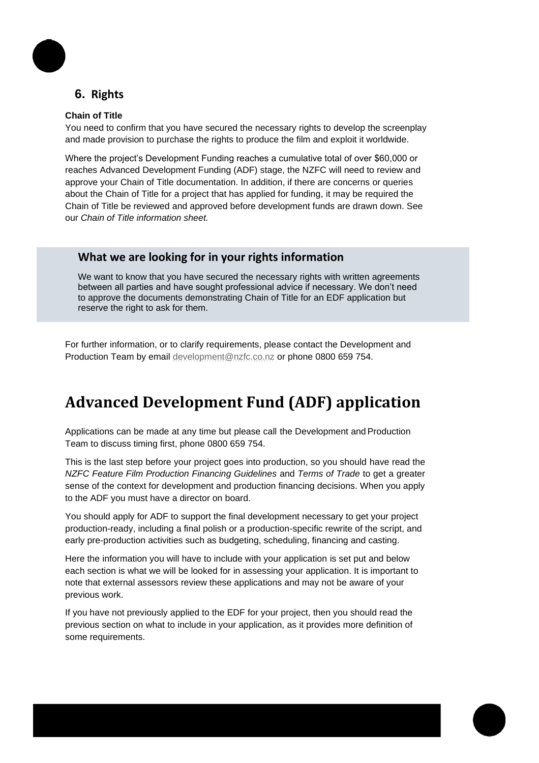# **6. Rights**

#### **Chain of Title**

You need to confirm that you have secured the necessary rights to develop the screenplay and made provision to purchase the rights to produce the film and exploit it worldwide.

Where the project's Development Funding reaches a cumulative total of over \$60,000 or reaches Advanced Development Funding (ADF) stage, the NZFC will need to review and approve your Chain of Title documentation. In addition, if there are concerns or queries about the Chain of Title for a project that has applied for funding, it may be required the Chain of Title be reviewed and approved before development funds are drawn down. See our *Chain of Title information sheet.*

#### **What we are looking for in your rights information**

We want to know that you have secured the necessary rights with written agreements between all parties and have sought professional advice if necessary. We don't need to approve the documents demonstrating Chain of Title for an EDF application but reserve the right to ask for them.

For further information, or to clarify requirements, please contact the Development and Production Team by email [development@nzfc.co.nz](mailto:development@nzfc.co.nz) or phone 0800 659 754.

# **Advanced Development Fund (ADF) application**

Applications can be made at any time but please call the Development and Production Team to discuss timing first, phone 0800 659 754.

This is the last step before your project goes into production, so you should have read the *NZFC Feature Film Production Financing Guidelines* and *Terms of Trade* to get a greater sense of the context for development and production financing decisions. When you apply to the ADF you must have a director on board.

You should apply for ADF to support the final development necessary to get your project production-ready, including a final polish or a production-specific rewrite of the script, and early pre-production activities such as budgeting, scheduling, financing and casting.

Here the information you will have to include with your application is set put and below each section is what we will be looked for in assessing your application. It is important to note that external assessors review these applications and may not be aware of your previous work.

If you have not previously applied to the EDF for your project, then you should read the previous section on what to include in your application, as it provides more definition of some requirements.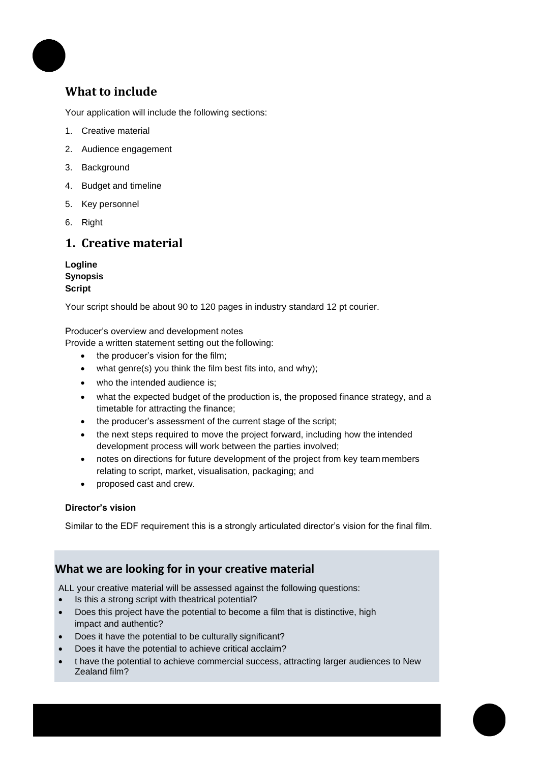

# **What to include**

Your application will include the following sections:

- 1. Creative material
- 2. Audience engagement
- 3. Background
- 4. Budget and timeline
- 5. Key personnel
- 6. Right

# **1. Creative material**

**Logline Synopsis Script**

Your script should be about 90 to 120 pages in industry standard 12 pt courier.

Producer's overview and development notes

Provide a written statement setting out the following:

- the producer's vision for the film;
- what genre(s) you think the film best fits into, and why);
- who the intended audience is;
- what the expected budget of the production is, the proposed finance strategy, and a timetable for attracting the finance;
- the producer's assessment of the current stage of the script;
- the next steps required to move the project forward, including how the intended development process will work between the parties involved;
- notes on directions for future development of the project from key team members relating to script, market, visualisation, packaging; and
- proposed cast and crew.

#### **Director's vision**

Similar to the EDF requirement this is a strongly articulated director's vision for the final film.

### **What we are looking for in your creative material**

ALL your creative material will be assessed against the following questions:

- Is this a strong script with theatrical potential?
- Does this project have the potential to become a film that is distinctive, high impact and authentic?
- Does it have the potential to be culturally significant?
- Does it have the potential to achieve critical acclaim?
- t have the potential to achieve commercial success, attracting larger audiences to New Zealand film?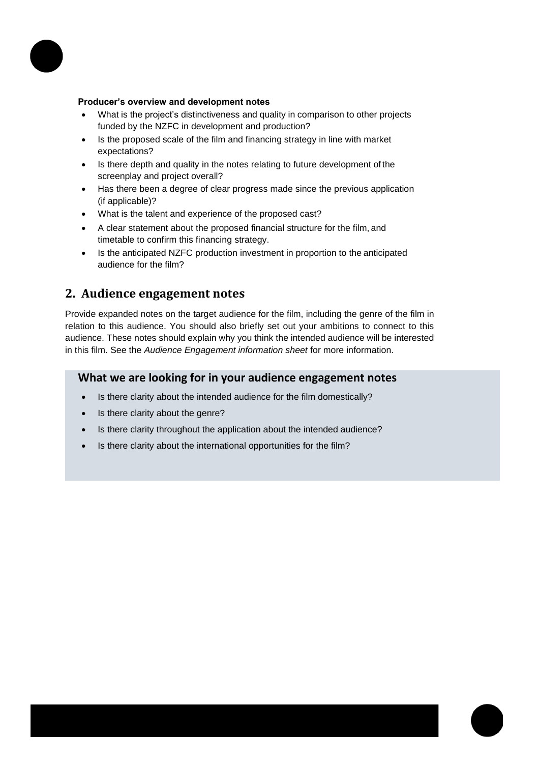

#### **Producer's overview and development notes**

- What is the project's distinctiveness and quality in comparison to other projects funded by the NZFC in development and production?
- Is the proposed scale of the film and financing strategy in line with market expectations?
- Is there depth and quality in the notes relating to future development of the screenplay and project overall?
- Has there been a degree of clear progress made since the previous application (if applicable)?
- What is the talent and experience of the proposed cast?
- A clear statement about the proposed financial structure for the film, and timetable to confirm this financing strategy.
- Is the anticipated NZFC production investment in proportion to the anticipated audience for the film?

### **2. Audience engagement notes**

Provide expanded notes on the target audience for the film, including the genre of the film in relation to this audience. You should also briefly set out your ambitions to connect to this audience. These notes should explain why you think the intended audience will be interested in this film. See the *Audience Engagement information sheet* for more information.

#### **What we are looking for in your audience engagement notes**

- Is there clarity about the intended audience for the film domestically?
- Is there clarity about the genre?
- Is there clarity throughout the application about the intended audience?
- Is there clarity about the international opportunities for the film?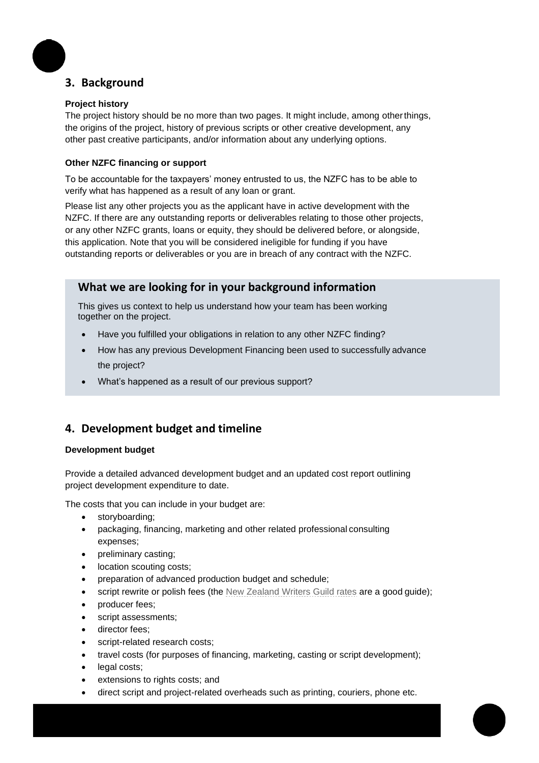# **3. Background**

#### **Project history**

The project history should be no more than two pages. It might include, among otherthings, the origins of the project, history of previous scripts or other creative development, any other past creative participants, and/or information about any underlying options.

#### **Other NZFC financing or support**

To be accountable for the taxpayers' money entrusted to us, the NZFC has to be able to verify what has happened as a result of any loan or grant.

Please list any other projects you as the applicant have in active development with the NZFC. If there are any outstanding reports or deliverables relating to those other projects, or any other NZFC grants, loans or equity, they should be delivered before, or alongside, this application. Note that you will be considered ineligible for funding if you have outstanding reports or deliverables or you are in breach of any contract with the NZFC.

### **What we are looking for in your background information**

This gives us context to help us understand how your team has been working together on the project.

- Have you fulfilled your obligations in relation to any other NZFC finding?
- How has any previous Development Financing been used to successfully advance the project?
- What's happened as a result of our previous support?

# **4. Development budget and timeline**

#### **Development budget**

Provide a detailed advanced development budget and an updated cost report outlining project development expenditure to date.

The costs that you can include in your budget are:

- storyboarding;
- packaging, financing, marketing and other related professional consulting expenses;
- preliminary casting;
- location scouting costs;
- preparation of advanced production budget and schedule;
- script rewrite or polish fees (the [New Zealand Writers Guild rates](http://www.nzwg.org.nz/resources/faqs/your-rights/conditions/) are a good guide);
- producer fees;
- script assessments;
- director fees;
- script-related research costs;
- travel costs (for purposes of financing, marketing, casting or script development);
- legal costs;
- extensions to rights costs; and
- direct script and project-related overheads such as printing, couriers, phone etc.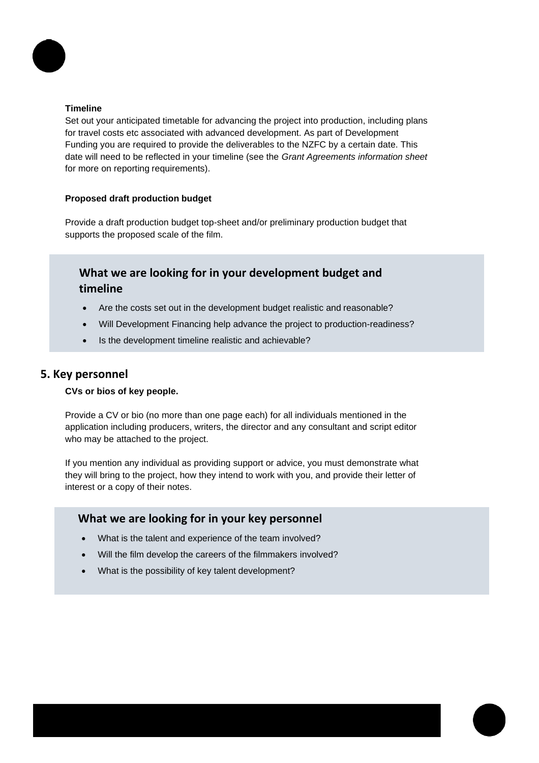

#### **Timeline**

Set out your anticipated timetable for advancing the project into production, including plans for travel costs etc associated with advanced development. As part of Development Funding you are required to provide the deliverables to the NZFC by a certain date. This date will need to be reflected in your timeline (see the *Grant Agreements information sheet*  for more on reporting requirements).

#### **Proposed draft production budget**

Provide a draft production budget top-sheet and/or preliminary production budget that supports the proposed scale of the film.

# **What we are looking for in your development budget and timeline**

- Are the costs set out in the development budget realistic and reasonable?
- Will Development Financing help advance the project to production-readiness?
- Is the development timeline realistic and achievable?

#### **5. Key personnel**

#### **CVs or bios of key people.**

Provide a CV or bio (no more than one page each) for all individuals mentioned in the application including producers, writers, the director and any consultant and script editor who may be attached to the project.

If you mention any individual as providing support or advice, you must demonstrate what they will bring to the project, how they intend to work with you, and provide their letter of interest or a copy of their notes.

#### **What we are looking for in your key personnel**

- What is the talent and experience of the team involved?
- Will the film develop the careers of the filmmakers involved?
- What is the possibility of key talent development?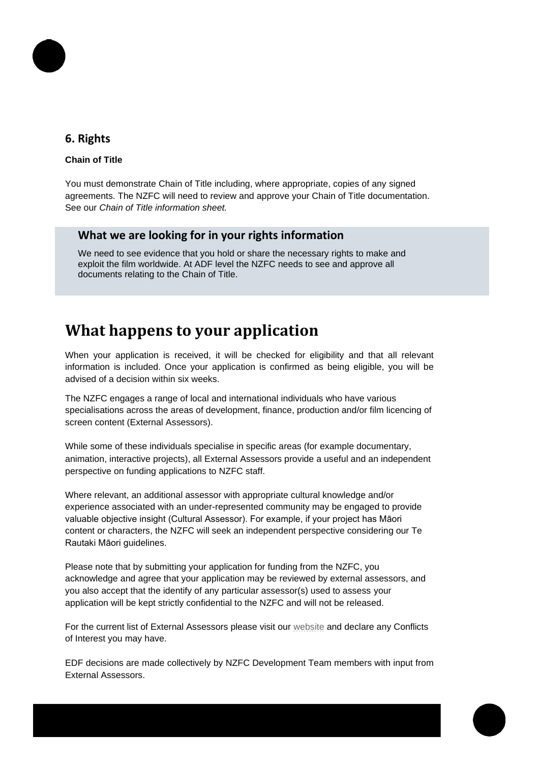# **6. Rights**

#### **Chain of Title**

You must demonstrate Chain of Title including, where appropriate, copies of any signed agreements. The NZFC will need to review and approve your Chain of Title documentation. See our *Chain of Title information sheet.*

### **What we are looking for in your rights information**

We need to see evidence that you hold or share the necessary rights to make and exploit the film worldwide. At ADF level the NZFC needs to see and approve all documents relating to the Chain of Title.

# **What happens to your application**

When your application is received, it will be checked for eligibility and that all relevant information is included. Once your application is confirmed as being eligible, you will be advised of a decision within six weeks.

The NZFC engages a range of local and international individuals who have various specialisations across the areas of development, finance, production and/or film licencing of screen content (External Assessors).

While some of these individuals specialise in specific areas (for example documentary, animation, interactive projects), all External Assessors provide a useful and an independent perspective on funding applications to NZFC staff.

Where relevant, an additional assessor with appropriate cultural knowledge and/or experience associated with an under-represented community may be engaged to provide valuable objective insight (Cultural Assessor). For example, if your project has Māori content or characters, the NZFC will seek an independent perspective considering our Te Rautaki Māori guidelines.

Please note that by submitting your application for funding from the NZFC, you acknowledge and agree that your application may be reviewed by external assessors, and you also accept that the identify of any particular assessor(s) used to assess your application will be kept strictly confidential to the NZFC and will not be released.

For the current list of External Assessors please visit our [website](https://www.nzfilm.co.nz/resources/external-assessor-process-production-and-development-funding) and declare any Conflicts of Interest you may have.

EDF decisions are made collectively by NZFC Development Team members with input from External Assessors.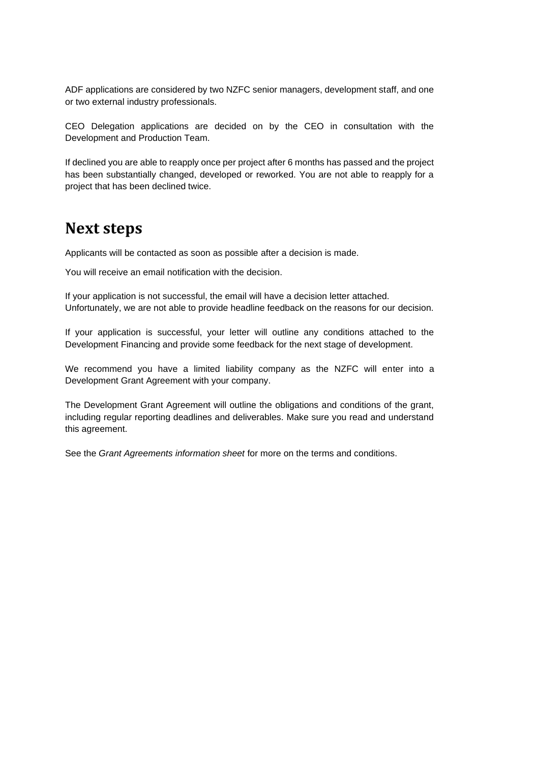ADF applications are considered by two NZFC senior managers, development staff, and one or two external industry professionals.

CEO Delegation applications are decided on by the CEO in consultation with the Development and Production Team.

If declined you are able to reapply once per project after 6 months has passed and the project has been substantially changed, developed or reworked. You are not able to reapply for a project that has been declined twice.

# **Next steps**

Applicants will be contacted as soon as possible after a decision is made.

You will receive an email notification with the decision.

If your application is not successful, the email will have a decision letter attached. Unfortunately, we are not able to provide headline feedback on the reasons for our decision.

If your application is successful, your letter will outline any conditions attached to the Development Financing and provide some feedback for the next stage of development.

We recommend you have a limited liability company as the NZFC will enter into a Development Grant Agreement with your company.

The Development Grant Agreement will outline the obligations and conditions of the grant, including regular reporting deadlines and deliverables. Make sure you read and understand this agreement.

See the *Grant Agreements information sheet* for more on the terms and conditions.